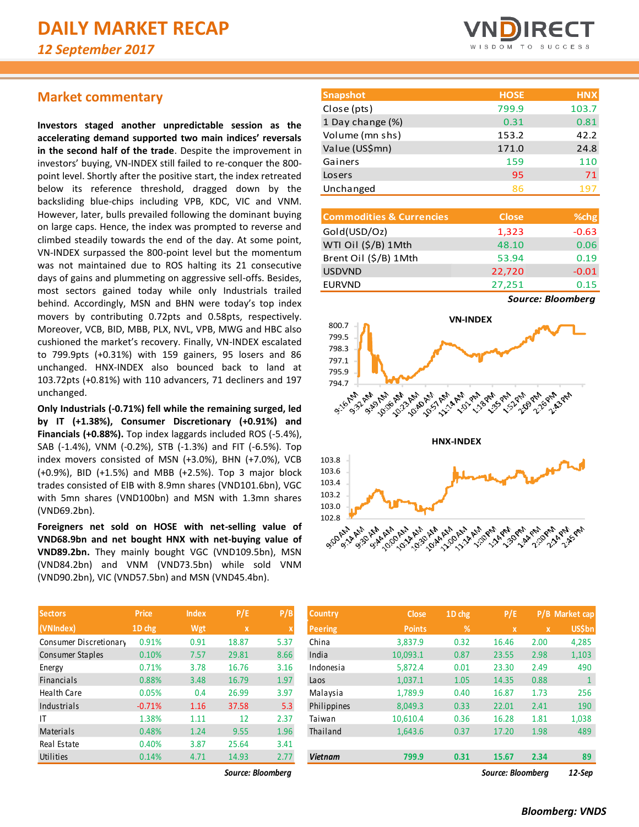# **Market commentary**

**Investors staged another unpredictable session as the accelerating demand supported two main indices' reversals in the second half of the trade**. Despite the improvement in investors' buying, VN-INDEX still failed to re-conquer the 800 point level. Shortly after the positive start, the index retreated below its reference threshold, dragged down by the backsliding blue-chips including VPB, KDC, VIC and VNM. However, later, bulls prevailed following the dominant buying on large caps. Hence, the index was prompted to reverse and climbed steadily towards the end of the day. At some point, VN-INDEX surpassed the 800-point level but the momentum was not maintained due to ROS halting its 21 consecutive days of gains and plummeting on aggressive sell-offs. Besides, most sectors gained today while only Industrials trailed behind. Accordingly, MSN and BHN were today's top index movers by contributing 0.72pts and 0.58pts, respectively. Moreover, VCB, BID, MBB, PLX, NVL, VPB, MWG and HBC also cushioned the market's recovery. Finally, VN-INDEX escalated to 799.9pts (+0.31%) with 159 gainers, 95 losers and 86 unchanged. HNX-INDEX also bounced back to land at 103.72pts (+0.81%) with 110 advancers, 71 decliners and 197 unchanged.

**Only Industrials (-0.71%) fell while the remaining surged, led by IT (+1.38%), Consumer Discretionary (+0.91%) and Financials (+0.88%).** Top index laggards included ROS (-5.4%), SAB (-1.4%), VNM (-0.2%), STB (-1.3%) and FIT (-6.5%). Top index movers consisted of MSN (+3.0%), BHN (+7.0%), VCB (+0.9%), BID (+1.5%) and MBB (+2.5%). Top 3 major block trades consisted of EIB with 8.9mn shares (VND101.6bn), VGC with 5mn shares (VND100bn) and MSN with 1.3mn shares (VND69.2bn).

**Foreigners net sold on HOSE with net-selling value of VND68.9bn and net bought HNX with net-buying value of VND89.2bn.** They mainly bought VGC (VND109.5bn), MSN (VND84.2bn) and VNM (VND73.5bn) while sold VNM (VND90.2bn), VIC (VND57.5bn) and MSN (VND45.4bn).

| <b>Sectors</b>         | Price    | <b>Index</b> | P/E         | P/B                       |
|------------------------|----------|--------------|-------------|---------------------------|
| (VNIndex)              | 1D chg   | Wgt          | $\mathbf x$ | $\boldsymbol{\mathsf{x}}$ |
| Consumer Discretionary | 0.91%    | 0.91         | 18.87       | 5.37                      |
| Consumer Staples       | 0.10%    | 7.57         | 29.81       | 8.66                      |
| Energy                 | 0.71%    | 3.78         | 16.76       | 3.16                      |
| Financials             | 0.88%    | 3.48         | 16.79       | 1.97                      |
| <b>Health Care</b>     | 0.05%    | 0.4          | 26.99       | 3.97                      |
| Industrials            | $-0.71%$ | 1.16         | 37.58       | 5.3                       |
| ١T                     | 1.38%    | 1.11         | 12          | 2.37                      |
| Materials              | 0.48%    | 1.24         | 9.55        | 1.96                      |
| Real Estate            | 0.40%    | 3.87         | 25.64       | 3.41                      |
| Utilities              | 0.14%    | 4.71         | 14.93       | 2.77                      |

*Source: Bloomberg Source: Bloomberg 12-Sep*



| <b>Snapshot</b>  | <b>HOSE</b> | <b>HNX</b> |
|------------------|-------------|------------|
| Close (pts)      | 799.9       | 103.7      |
| 1 Day change (%) | 0.31        | 0.81       |
| Volume (mn shs)  | 153.2       | 42.2       |
| Value (US\$mn)   | 171.0       | 24.8       |
| Gainers          | 159         | 110        |
| Losers           | 95          | 71         |
| Unchanged        | 86          | 197        |

| <b>Commodities &amp; Currencies</b> | <b>Close</b> | % <sub>chg</sub> |
|-------------------------------------|--------------|------------------|
| Gold(USD/Oz)                        | 1,323        | $-0.63$          |
| WTI Oil (\$/B) 1Mth                 | 48.10        | 0.06             |
| Brent Oil (\$/B) 1Mth               | 53.94        | 0.19             |
| <b>USDVND</b>                       | 22,720       | $-0.01$          |
| <b>EURVND</b>                       | 27,251       | 0.15             |
|                                     |              |                  |

*Source: Bloomberg*



| <b>Sectors</b>                         | <b>Price</b> | <b>Index</b> | P/E   | P/B  | <b>Country</b> | <b>Close</b>  | 1D chg | P/E                       |             | P/B Market cap |
|----------------------------------------|--------------|--------------|-------|------|----------------|---------------|--------|---------------------------|-------------|----------------|
| (VNIndex),                             | 1D chg       | Wgt          | X     |      | Peering        | <b>Points</b> | %      | $\boldsymbol{\mathsf{x}}$ | $\mathbf x$ | <b>US\$bn</b>  |
| Consumer Discretionary                 | 0.91%        | 0.91         | 18.87 | 5.37 | China          | 3,837.9       | 0.32   | 16.46                     | 2.00        | 4,285          |
| Consumer Staples                       | 0.10%        | 7.57         | 29.81 | 8.66 | India          | 10,093.1      | 0.87   | 23.55                     | 2.98        | 1,103          |
| Energy                                 | 0.71%        | 3.78         | 16.76 | 3.16 | Indonesia      | 5,872.4       | 0.01   | 23.30                     | 2.49        | 490            |
| Financials                             | 0.88%        | 3.48         | 16.79 | 1.97 | Laos           | 1,037.1       | 1.05   | 14.35                     | 0.88        |                |
| Health Care                            | 0.05%        | 0.4          | 26.99 | 3.97 | Malaysia       | 1,789.9       | 0.40   | 16.87                     | 1.73        | 256            |
| Industrials                            | $-0.71%$     | 1.16         | 37.58 | 5.3  | Philippines    | 8,049.3       | 0.33   | 22.01                     | 2.41        | 190            |
|                                        | 1.38%        | 1.11         | 12    | 2.37 | Taiwan         | 10,610.4      | 0.36   | 16.28                     | 1.81        | 1,038          |
| Materials                              | 0.48%        | 1.24         | 9.55  | 1.96 | Thailand       | 1,643.6       | 0.37   | 17.20                     | 1.98        | 489            |
| Real Estate                            | 0.40%        | 3.87         | 25.64 | 3.41 |                |               |        |                           |             |                |
| Utilities                              | 0.14%        | 4.71         | 14.93 | 2.77 | <b>Vietnam</b> | 799.9         | 0.31   | 15.67                     | 2.34        | 89             |
| Source: Bloomberg<br>Source: Bloomberg |              |              |       |      |                |               |        | 12-Sep                    |             |                |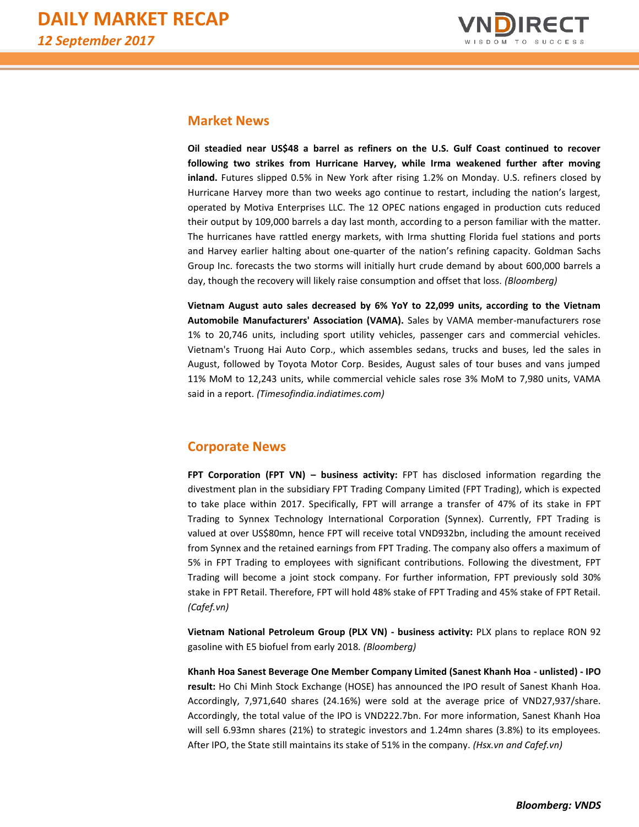

## **Market News**

**Oil steadied near US\$48 a barrel as refiners on the U.S. Gulf Coast continued to recover following two strikes from Hurricane Harvey, while Irma weakened further after moving inland.** Futures slipped 0.5% in New York after rising 1.2% on Monday. U.S. refiners closed by Hurricane Harvey more than two weeks ago continue to restart, including the nation's largest, operated by Motiva Enterprises LLC. The 12 OPEC nations engaged in production cuts reduced their output by 109,000 barrels a day last month, according to a person familiar with the matter. The hurricanes have rattled energy markets, with Irma shutting Florida fuel stations and ports and Harvey earlier halting about one-quarter of the nation's refining capacity. Goldman Sachs Group Inc. forecasts the two storms will initially hurt crude demand by about 600,000 barrels a day, though the recovery will likely raise consumption and offset that loss. *(Bloomberg)*

**Vietnam August auto sales decreased by 6% YoY to 22,099 units, according to the Vietnam Automobile Manufacturers' Association (VAMA).** Sales by VAMA member-manufacturers rose 1% to 20,746 units, including sport utility vehicles, passenger cars and commercial vehicles. Vietnam's Truong Hai Auto Corp., which assembles sedans, trucks and buses, led the sales in August, followed by Toyota Motor Corp. Besides, August sales of tour buses and vans jumped 11% MoM to 12,243 units, while commercial vehicle sales rose 3% MoM to 7,980 units, VAMA said in a report. *(Timesofindia.indiatimes.com)*

# **Corporate News**

**FPT Corporation (FPT VN) – business activity:** FPT has disclosed information regarding the divestment plan in the subsidiary FPT Trading Company Limited (FPT Trading), which is expected to take place within 2017. Specifically, FPT will arrange a transfer of 47% of its stake in FPT Trading to Synnex Technology International Corporation (Synnex). Currently, FPT Trading is valued at over US\$80mn, hence FPT will receive total VND932bn, including the amount received from Synnex and the retained earnings from FPT Trading. The company also offers a maximum of 5% in FPT Trading to employees with significant contributions. Following the divestment, FPT Trading will become a joint stock company. For further information, FPT previously sold 30% stake in FPT Retail. Therefore, FPT will hold 48% stake of FPT Trading and 45% stake of FPT Retail. *(Cafef.vn)*

**Vietnam National Petroleum Group (PLX VN) - business activity:** PLX plans to replace RON 92 gasoline with E5 biofuel from early 2018*. (Bloomberg)*

**Khanh Hoa Sanest Beverage One Member Company Limited (Sanest Khanh Hoa - unlisted) - IPO result:** Ho Chi Minh Stock Exchange (HOSE) has announced the IPO result of Sanest Khanh Hoa. Accordingly, 7,971,640 shares (24.16%) were sold at the average price of VND27,937/share. Accordingly, the total value of the IPO is VND222.7bn. For more information, Sanest Khanh Hoa will sell 6.93mn shares (21%) to strategic investors and 1.24mn shares (3.8%) to its employees. After IPO, the State still maintains its stake of 51% in the company. *(Hsx.vn and Cafef.vn)*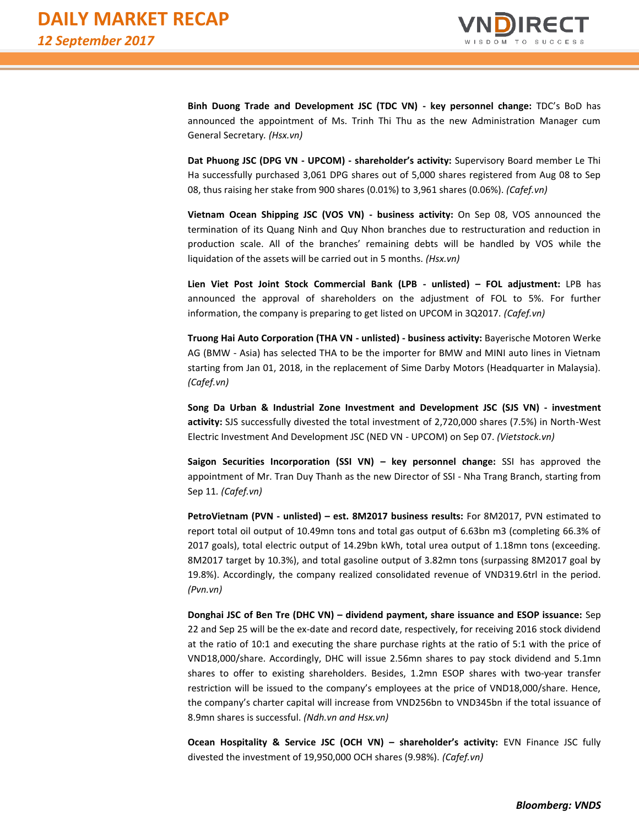

**Binh Duong Trade and Development JSC (TDC VN) - key personnel change:** TDC's BoD has announced the appointment of Ms. Trinh Thi Thu as the new Administration Manager cum General Secretary*. (Hsx.vn)*

**Dat Phuong JSC (DPG VN - UPCOM) - shareholder's activity:** Supervisory Board member Le Thi Ha successfully purchased 3,061 DPG shares out of 5,000 shares registered from Aug 08 to Sep 08, thus raising her stake from 900 shares (0.01%) to 3,961 shares (0.06%). *(Cafef.vn)*

**Vietnam Ocean Shipping JSC (VOS VN) - business activity:** On Sep 08, VOS announced the termination of its Quang Ninh and Quy Nhon branches due to restructuration and reduction in production scale. All of the branches' remaining debts will be handled by VOS while the liquidation of the assets will be carried out in 5 months. *(Hsx.vn)*

**Lien Viet Post Joint Stock Commercial Bank (LPB - unlisted) – FOL adjustment:** LPB has announced the approval of shareholders on the adjustment of FOL to 5%. For further information, the company is preparing to get listed on UPCOM in 3Q2017. *(Cafef.vn)*

**Truong Hai Auto Corporation (THA VN - unlisted) - business activity:** Bayerische Motoren Werke AG (BMW - Asia) has selected THA to be the importer for BMW and MINI auto lines in Vietnam starting from Jan 01, 2018, in the replacement of Sime Darby Motors (Headquarter in Malaysia). *(Cafef.vn)*

**Song Da Urban & Industrial Zone Investment and Development JSC (SJS VN) - investment activity:** SJS successfully divested the total investment of 2,720,000 shares (7.5%) in North-West Electric Investment And Development JSC (NED VN - UPCOM) on Sep 07. *(Vietstock.vn)*

**Saigon Securities Incorporation (SSI VN) – key personnel change:** SSI has approved the appointment of Mr. Tran Duy Thanh as the new Director of SSI - Nha Trang Branch, starting from Sep 11*. (Cafef.vn)*

**PetroVietnam (PVN - unlisted) – est. 8M2017 business results:** For 8M2017, PVN estimated to report total oil output of 10.49mn tons and total gas output of 6.63bn m3 (completing 66.3% of 2017 goals), total electric output of 14.29bn kWh, total urea output of 1.18mn tons (exceeding. 8M2017 target by 10.3%), and total gasoline output of 3.82mn tons (surpassing 8M2017 goal by 19.8%). Accordingly, the company realized consolidated revenue of VND319.6trl in the period. *(Pvn.vn)*

**Donghai JSC of Ben Tre (DHC VN) – dividend payment, share issuance and ESOP issuance:** Sep 22 and Sep 25 will be the ex-date and record date, respectively, for receiving 2016 stock dividend at the ratio of 10:1 and executing the share purchase rights at the ratio of 5:1 with the price of VND18,000/share. Accordingly, DHC will issue 2.56mn shares to pay stock dividend and 5.1mn shares to offer to existing shareholders. Besides, 1.2mn ESOP shares with two-year transfer restriction will be issued to the company's employees at the price of VND18,000/share. Hence, the company's charter capital will increase from VND256bn to VND345bn if the total issuance of 8.9mn shares is successful. *(Ndh.vn and Hsx.vn)*

**Ocean Hospitality & Service JSC (OCH VN) – shareholder's activity:** EVN Finance JSC fully divested the investment of 19,950,000 OCH shares (9.98%). *(Cafef.vn)*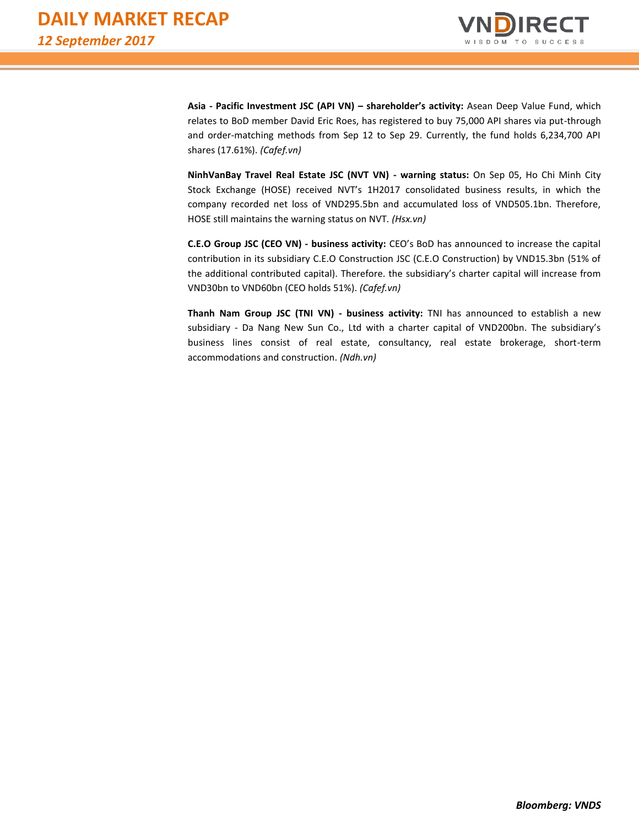

**Asia - Pacific Investment JSC (API VN) – shareholder's activity:** Asean Deep Value Fund, which relates to BoD member David Eric Roes, has registered to buy 75,000 API shares via put-through and order-matching methods from Sep 12 to Sep 29. Currently, the fund holds 6,234,700 API shares (17.61%). *(Cafef.vn)*

**NinhVanBay Travel Real Estate JSC (NVT VN) - warning status:** On Sep 05, Ho Chi Minh City Stock Exchange (HOSE) received NVT's 1H2017 consolidated business results, in which the company recorded net loss of VND295.5bn and accumulated loss of VND505.1bn. Therefore, HOSE still maintains the warning status on NVT*. (Hsx.vn)*

**C.E.O Group JSC (CEO VN) - business activity:** CEO's BoD has announced to increase the capital contribution in its subsidiary C.E.O Construction JSC (C.E.O Construction) by VND15.3bn (51% of the additional contributed capital). Therefore. the subsidiary's charter capital will increase from VND30bn to VND60bn (CEO holds 51%). *(Cafef.vn)*

**Thanh Nam Group JSC (TNI VN) - business activity:** TNI has announced to establish a new subsidiary - Da Nang New Sun Co., Ltd with a charter capital of VND200bn. The subsidiary's business lines consist of real estate, consultancy, real estate brokerage, short-term accommodations and construction. *(Ndh.vn)*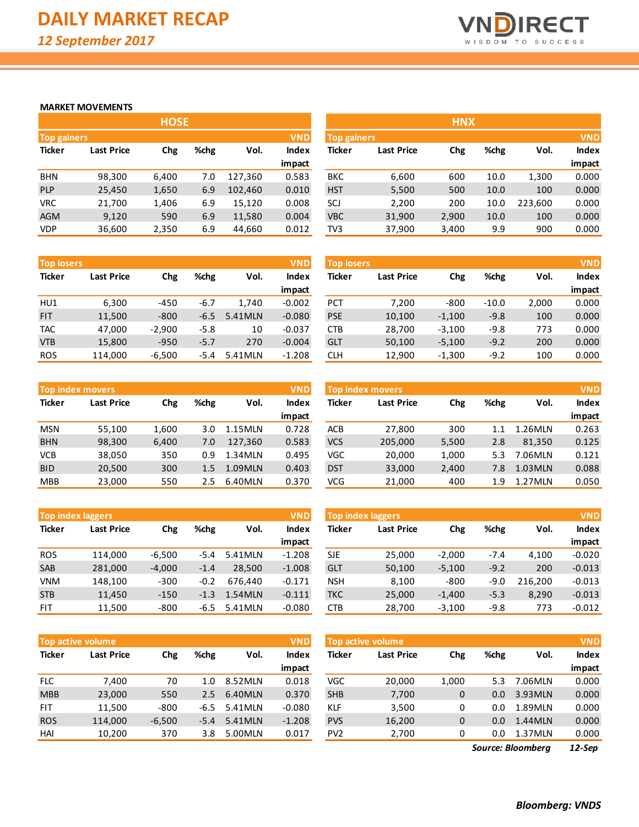

#### **MARKET MOVEMENTS**

|                    |                   | <b>HOSE</b> |      |         |              |               |                   | <b>HNX</b> |
|--------------------|-------------------|-------------|------|---------|--------------|---------------|-------------------|------------|
| <b>Top gainers</b> |                   |             |      |         | <b>VND</b>   | Top gainers   |                   |            |
| <b>Ticker</b>      | <b>Last Price</b> | Chg         | %chg | Vol.    | <b>Index</b> | <b>Ticker</b> | <b>Last Price</b> | Chg        |
|                    |                   |             |      |         | impact       |               |                   |            |
| <b>BHN</b>         | 98,300            | 6,400       | 7.0  | 127,360 | 0.583        | <b>BKC</b>    | 6,600             | 600        |
| <b>PLP</b>         | 25,450            | 1,650       | 6.9  | 102,460 | 0.010        | <b>HST</b>    | 5,500             | 500        |
| <b>VRC</b>         | 21,700            | 1,406       | 6.9  | 15,120  | 0.008        | SCJ           | 2,200             | 200        |
| <b>AGM</b>         | 9,120             | 590         | 6.9  | 11,580  | 0.004        | <b>VBC</b>    | 31,900            | 2,900      |
| <b>VDP</b>         | 36,600            | 2,350       | 6.9  | 44,660  | 0.012        | TV3           | 37,900            | 3,400      |

| <b>Top losers</b> |                   |          |        |         | <b>VND</b>   |
|-------------------|-------------------|----------|--------|---------|--------------|
| <b>Ticker</b>     | <b>Last Price</b> |          | %chg   | Vol.    | <b>Index</b> |
|                   |                   |          |        |         | impact       |
| HU1               | 6,300             | $-450$   | $-6.7$ | 1.740   | $-0.002$     |
| <b>FIT</b>        | 11,500            | $-800$   | $-6.5$ | 5.41MLN | $-0.080$     |
| <b>TAC</b>        | 47,000            | $-2,900$ | $-5.8$ | 10      | $-0.037$     |
| <b>VTB</b>        | 15,800            | $-950$   | $-5.7$ | 270     | $-0.004$     |
| <b>ROS</b>        | 114,000           | $-6,500$ | -5.4   | 5.41MLN | $-1.208$     |

| <b>Top index movers</b> |                   |       |      |         | <b>VND</b>   |
|-------------------------|-------------------|-------|------|---------|--------------|
| <b>Ticker</b>           | <b>Last Price</b> | Chg   | %chg | Vol.    | <b>Index</b> |
|                         |                   |       |      |         | impact       |
| <b>MSN</b>              | 55,100            | 1,600 | 3.0  | 1.15MLN | 0.728        |
| <b>BHN</b>              | 98,300            | 6,400 | 7.0  | 127,360 | 0.583        |
| <b>VCB</b>              | 38,050            | 350   | 0.9  | 1.34MLN | 0.495        |
| <b>BID</b>              | 20,500            | 300   | 1.5  | 1.09MLN | 0.403        |
| <b>MBB</b>              | 23,000            | 550   | 2.5  | 6.40MLN | 0.370        |

|               | <b>Top index laggers</b> |          |        |         | <b>VND</b>   |
|---------------|--------------------------|----------|--------|---------|--------------|
| <b>Ticker</b> | <b>Last Price</b>        | Chg      | %chg   | Vol.    | <b>Index</b> |
|               |                          |          |        |         | impact       |
| <b>ROS</b>    | 114,000                  | $-6,500$ | -5.4   | 5.41MLN | $-1.208$     |
| <b>SAB</b>    | 281,000                  | $-4,000$ | $-1.4$ | 28,500  | $-1.008$     |
| <b>VNM</b>    | 148,100                  | $-300$   | $-0.2$ | 676.440 | $-0.171$     |
| <b>STB</b>    | 11,450                   | $-150$   | $-1.3$ | 1.54MLN | $-0.111$     |
| FIT           | 11,500                   | $-800$   | -6.5   | 5.41MLN | $-0.080$     |

|               | <b>Top active volume</b> |          |             |         | <b>VND</b>   |
|---------------|--------------------------|----------|-------------|---------|--------------|
| <b>Ticker</b> | <b>Last Price</b>        | Chg      | %chg        | Vol.    | <b>Index</b> |
|               |                          |          |             |         | impact       |
| <b>FLC</b>    | 7,400                    | 70       | 1. $\Omega$ | 8.52MLN | 0.018        |
| <b>MBB</b>    | 23,000                   | 550      | 2.5         | 6.40MLN | 0.370        |
| FIT           | 11,500                   | $-800$   | $-6.5$      | 5.41MLN | $-0.080$     |
| <b>ROS</b>    | 114,000                  | $-6,500$ | -5.4        | 5.41MLN | $-1.208$     |
| HAI           | 10.200                   | 370      | 3.8         | 5.00MLN | 0.017        |

|                                  |                   | <b>HOSE</b> |      |         |              |            |                                  | <b>HNX</b> |      |         |              |
|----------------------------------|-------------------|-------------|------|---------|--------------|------------|----------------------------------|------------|------|---------|--------------|
| <b>VND</b><br><b>Top gainers</b> |                   |             |      |         |              |            | <b>VND</b><br><b>Top gainers</b> |            |      |         |              |
| Ticker                           | <b>Last Price</b> | Chg         | %chg | Vol.    | <b>Index</b> | Ticker     | <b>Last Price</b>                | Chg        | %chg | Vol.    | <b>Index</b> |
|                                  |                   |             |      |         | impact       |            |                                  |            |      |         | impact       |
| <b>BHN</b>                       | 98,300            | 6,400       | 7.0  | 127,360 | 0.583        | <b>BKC</b> | 6,600                            | 600        | 10.0 | 1,300   | 0.000        |
| <b>PLP</b>                       | 25,450            | 1,650       | 6.9  | 102,460 | 0.010        | <b>HST</b> | 5,500                            | 500        | 10.0 | 100     | 0.000        |
| <b>VRC</b>                       | 21,700            | 1,406       | 6.9  | 15,120  | 0.008        | SCJ        | 2,200                            | 200        | 10.0 | 223.600 | 0.000        |
| AGM                              | 9,120             | 590         | 6.9  | 11,580  | 0.004        | <b>VBC</b> | 31,900                           | 2,900      | 10.0 | 100     | 0.000        |
| VDP                              | 36,600            | 2,350       | 6.9  | 44,660  | 0.012        | TV3        | 37,900                           | 3,400      | 9.9  | 900     | 0.000        |

| <b>Top losers</b> |                   |          |        |         | <b>VND</b> | <b>Top losers</b> |                   |          |         |       | <b>VND</b> |
|-------------------|-------------------|----------|--------|---------|------------|-------------------|-------------------|----------|---------|-------|------------|
| Ticker            | <b>Last Price</b> | Chg      | %chg   | Vol.    | Index      | <b>Ticker</b>     | <b>Last Price</b> | Chg      | %chg    | Vol.  | Index      |
|                   |                   |          |        |         | impact     |                   |                   |          |         |       | impact     |
| HU1               | 6,300             | $-450$   | $-6.7$ | 1.740   | $-0.002$   | <b>PCT</b>        | 7.200             | $-800$   | $-10.0$ | 2,000 | 0.000      |
| <b>FIT</b>        | 11,500            | $-800$   | $-6.5$ | 5.41MLN | $-0.080$   | <b>PSE</b>        | 10,100            | $-1,100$ | $-9.8$  | 100   | 0.000      |
| TAC               | 47,000            | $-2,900$ | $-5.8$ | 10      | $-0.037$   | <b>CTB</b>        | 28,700            | $-3,100$ | $-9.8$  | 773   | 0.000      |
| <b>VTB</b>        | 15,800            | $-950$   | $-5.7$ | 270     | $-0.004$   | GLT               | 50,100            | $-5,100$ | $-9.2$  | 200   | 0.000      |
| <b>ROS</b>        | 114,000           | $-6,500$ | -5.4   | 5.41MLN | $-1.208$   | <b>CLH</b>        | 12,900            | $-1,300$ | $-9.2$  | 100   | 0.000      |

| Top index movers |                   |       |         |         | <b>VND</b> |               | <b>Top index movers</b> |       |      |         | <b>VND</b> |
|------------------|-------------------|-------|---------|---------|------------|---------------|-------------------------|-------|------|---------|------------|
| Ticker           | <b>Last Price</b> | Chg   | %chg    | Vol.    | Index      | <b>Ticker</b> | <b>Last Price</b>       | Chg   | %chg | Vol.    | Index      |
|                  |                   |       |         |         | impact     |               |                         |       |      |         | impact     |
| <b>MSN</b>       | 55,100            | 1,600 | 3.0     | 1.15MLN | 0.728      | <b>ACB</b>    | 27,800                  | 300   | 1.1  | 1.26MLN | 0.263      |
| <b>BHN</b>       | 98,300            | 6.400 | 7.0     | 127.360 | 0.583      | <b>VCS</b>    | 205,000                 | 5,500 | 2.8  | 81.350  | 0.125      |
| VCB              | 38,050            | 350   | 0.9     | 1.34MLN | 0.495      | VGC           | 20,000                  | 1,000 | 5.3  | 7.06MLN | 0.121      |
| <b>BID</b>       | 20,500            | 300   | $1.5\,$ | 1.09MLN | 0.403      | <b>DST</b>    | 33,000                  | 2,400 | 7.8  | 1.03MLN | 0.088      |
| MBB              | 23,000            | 550   | 2.5     | 6.40MLN | 0.370      | <b>VCG</b>    | 21,000                  | 400   | 1.9  | 1.27MLN | 0.050      |

|            | <b>VND</b><br><b>Top index laggers</b> |          |        |         |          |            | <b>Top index laggers</b> |          |        |         | <b>VND</b> |
|------------|----------------------------------------|----------|--------|---------|----------|------------|--------------------------|----------|--------|---------|------------|
| Ticker     | <b>Last Price</b>                      | Chg      | %chg   | Vol.    | Index    | Ticker     | <b>Last Price</b>        | Chg      | %chg   | Vol.    | Index      |
|            |                                        |          |        |         | impact   |            |                          |          |        |         | impact     |
| <b>ROS</b> | 114.000                                | $-6.500$ | -5.4   | 5.41MLN | $-1.208$ | <b>SJE</b> | 25,000                   | $-2.000$ | $-7.4$ | 4.100   | $-0.020$   |
| SAB        | 281,000                                | $-4,000$ | $-1.4$ | 28.500  | $-1.008$ | <b>GLT</b> | 50,100                   | $-5,100$ | $-9.2$ | 200     | $-0.013$   |
| VNM        | 148.100                                | $-300$   | $-0.2$ | 676.440 | $-0.171$ | <b>NSH</b> | 8,100                    | $-800$   | $-9.0$ | 216,200 | $-0.013$   |
| <b>STB</b> | 11,450                                 | $-150$   | $-1.3$ | 1.54MLN | $-0.111$ | <b>TKC</b> | 25,000                   | $-1.400$ | $-5.3$ | 8,290   | $-0.013$   |
| FIT.       | 11,500                                 | $-800$   | -6.5   | 5.41MLN | $-0.080$ | <b>CTB</b> | 28,700                   | $-3,100$ | $-9.8$ | 773     | $-0.012$   |

|            | <b>VND</b><br><b>Top active volume</b> |          |        |         |          | <b>Top active volume</b>      |                   | <b>VND</b> |         |                   |              |
|------------|----------------------------------------|----------|--------|---------|----------|-------------------------------|-------------------|------------|---------|-------------------|--------------|
| Ticker     | <b>Last Price</b>                      | Chg      | %chg   | Vol.    | Index    | Ticker                        | <b>Last Price</b> | Chg        | %chg    | Vol.              | <b>Index</b> |
|            |                                        |          |        |         | impact   |                               |                   |            |         |                   | impact       |
| <b>FLC</b> | 7,400                                  | 70       | 1.0    | 8.52MLN | 0.018    | VGC                           | 20,000            | 1,000      | 5.3     | 7.06MLN           | 0.000        |
| <b>MBB</b> | 23,000                                 | 550      | 2.5    | 6.40MLN | 0.370    | <b>SHB</b>                    | 7,700             | 0          | 0.0     | 3.93MLN           | 0.000        |
| <b>FIT</b> | 11,500                                 | $-800$   | -6.5   | 5.41MLN | $-0.080$ | <b>KLF</b>                    | 3,500             | 0          | 0.0     | 1.89MLN           | 0.000        |
| <b>ROS</b> | 114.000                                | $-6,500$ | $-5.4$ | 5.41MLN | $-1.208$ | <b>PVS</b>                    | 16,200            | 0          | 0.0     | 1.44 MLN          | 0.000        |
| HAI        | 10,200                                 | 370      | 3.8    | 5.00MLN | 0.017    | 2,700<br>PV <sub>2</sub><br>0 |                   | 0.0        | 1.37MLN | 0.000             |              |
|            |                                        |          |        |         |          |                               |                   |            |         | Source: Bloomberg | 12-Sep       |

*Bloomberg: VNDS*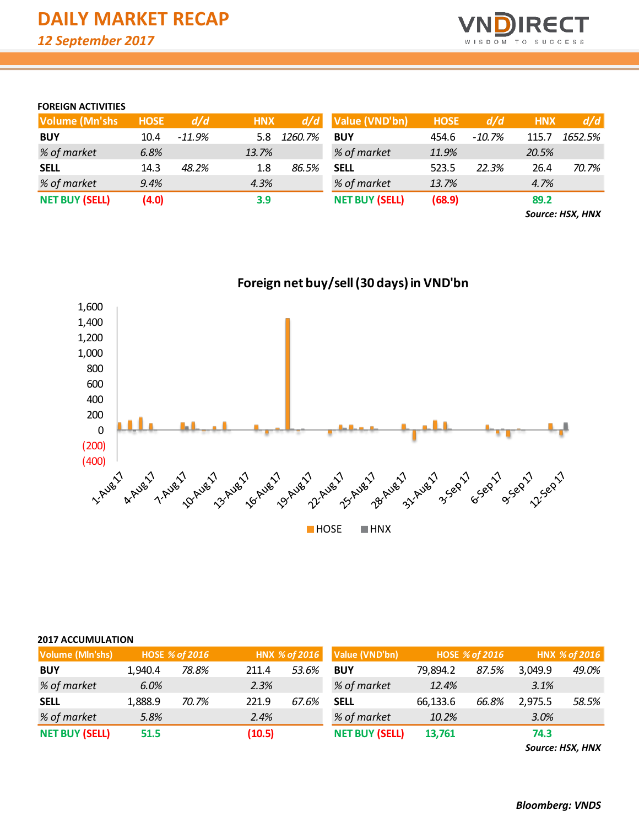

#### **FOREIGN ACTIVITIES**

| <b>Volume (Mn'shs)</b> | <b>HOSE</b> | d/d      | <b>HNX</b> | d/d     | Value (VND'bn)        | <b>HOSE</b> | d/d      | <b>HNX</b> | d/d     |
|------------------------|-------------|----------|------------|---------|-----------------------|-------------|----------|------------|---------|
| <b>BUY</b>             | 10.4        | $-11.9%$ | 5.8        | 1260.7% | <b>BUY</b>            | 454.6       | $-10.7%$ | 115.7      | 1652.5% |
| % of market            | 6.8%        |          | 13.7%      |         | % of market           | 11.9%       |          | 20.5%      |         |
| <b>SELL</b>            | 14.3        | 48.2%    | 1.8        | 86.5%   | <b>SELL</b>           | 523.5       | 22.3%    | 26.4       | 70.7%   |
| % of market            | 9.4%        |          | 4.3%       |         | % of market           | 13.7%       |          | 4.7%       |         |
| <b>NET BUY (SELL)</b>  | (4.0)       |          | 3.9        |         | <b>NET BUY (SELL)</b> | (68.9)      |          | 89.2       |         |

*Source: HSX, HNX*

J



**HOSE HNX** 

### **2017 ACCUMULATION**

| <b>Volume (MIn'shs)</b> |         | <b>HOSE % of 2016</b> |        | HNX % of 2016 | Value (VND'bn)        |          | <b>HOSE % of 2016</b> | HNX % of 2016 |       |  |
|-------------------------|---------|-----------------------|--------|---------------|-----------------------|----------|-----------------------|---------------|-------|--|
| <b>BUY</b>              | 1.940.4 | 78.8%                 | 211.4  | 53.6%         | <b>BUY</b>            | 79,894.2 | 87.5%                 | 3,049.9       | 49.0% |  |
| % of market             | 6.0%    |                       | 2.3%   |               | % of market           | 12.4%    |                       | 3.1%          |       |  |
| <b>SELL</b>             | 1,888.9 | 70.7%                 | 221.9  | 67.6%         | <b>SELL</b>           | 66,133.6 | 66.8%                 | 2,975.5       | 58.5% |  |
| % of market             | 5.8%    |                       | 2.4%   |               | % of market           | 10.2%    |                       | 3.0%          |       |  |
| <b>NET BUY (SELL)</b>   | 51.5    |                       | (10.5) |               | <b>NET BUY (SELL)</b> | 13.761   |                       | 74.3          |       |  |

*Source: HSX, HNX*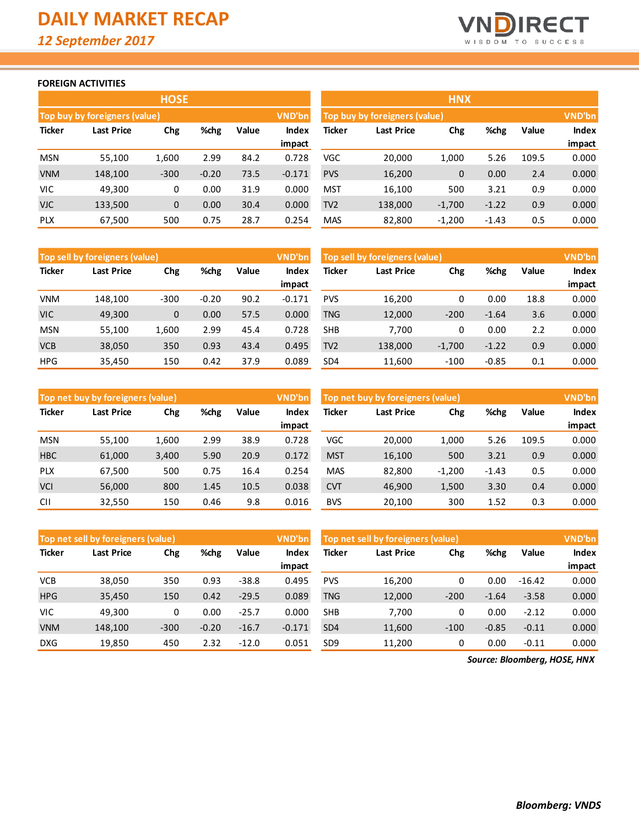

#### **FOREIGN ACTIVITIES**

|               |                               | <b>HOSE</b> |         |       |          | <b>HNX</b>      |                               |              |         |       |               |  |
|---------------|-------------------------------|-------------|---------|-------|----------|-----------------|-------------------------------|--------------|---------|-------|---------------|--|
|               | Top buy by foreigners (value) |             |         |       | VND'bn   |                 | Top buy by foreigners (value) |              |         |       | <b>VND'bn</b> |  |
| <b>Ticker</b> | <b>Last Price</b>             | Chg         | %chg    | Value | Index    | <b>Ticker</b>   | <b>Last Price</b>             | Chg          | %chg    | Value | Index         |  |
|               |                               |             |         |       | impact   |                 |                               |              |         |       | impact        |  |
| <b>MSN</b>    | 55,100                        | 1,600       | 2.99    | 84.2  | 0.728    | <b>VGC</b>      | 20,000                        | 1,000        | 5.26    | 109.5 | 0.000         |  |
| <b>VNM</b>    | 148,100                       | $-300$      | $-0.20$ | 73.5  | $-0.171$ | <b>PVS</b>      | 16,200                        | $\mathbf{0}$ | 0.00    | 2.4   | 0.000         |  |
| <b>VIC</b>    | 49,300                        | 0           | 0.00    | 31.9  | 0.000    | <b>MST</b>      | 16,100                        | 500          | 3.21    | 0.9   | 0.000         |  |
| <b>VJC</b>    | 133,500                       | 0           | 0.00    | 30.4  | 0.000    | TV <sub>2</sub> | 138,000                       | $-1,700$     | $-1.22$ | 0.9   | 0.000         |  |
| <b>PLX</b>    | 67,500                        | 500         | 0.75    | 28.7  | 0.254    | <b>MAS</b>      | 82,800                        | $-1,200$     | $-1.43$ | 0.5   | 0.000         |  |

|                 |                               | <b>HNX</b> |         |       |               |
|-----------------|-------------------------------|------------|---------|-------|---------------|
|                 | Top buy by foreigners (value) |            |         |       | <b>VND'bn</b> |
| <b>Ticker</b>   | <b>Last Price</b>             | Chg        | %chg    | Value | <b>Index</b>  |
|                 |                               |            |         |       | impact        |
| VGC             | 20,000                        | 1,000      | 5.26    | 109.5 | 0.000         |
| <b>PVS</b>      | 16,200                        | 0          | 0.00    | 2.4   | 0.000         |
| MST             | 16,100                        | 500        | 3.21    | 0.9   | 0.000         |
| TV <sub>2</sub> | 138,000                       | $-1,700$   | $-1.22$ | 0.9   | 0.000         |
| <b>MAS</b>      | 82,800                        | $-1,200$   | $-1.43$ | 0.5   | 0.000         |

|               | Top sell by foreigners (value) |              |         |       | <b>VND'bn</b> | Top sell by foreigners (value) |            | <b>VND'bn</b> |         |       |              |
|---------------|--------------------------------|--------------|---------|-------|---------------|--------------------------------|------------|---------------|---------|-------|--------------|
| <b>Ticker</b> | Last Price                     | Chg          | %chg    | Value | Index         | Ticker                         | Last Price | Chg           | %chg    | Value | <b>Index</b> |
|               |                                |              |         |       | impact        |                                |            |               |         |       | impact       |
| <b>VNM</b>    | 148.100                        | $-300$       | $-0.20$ | 90.2  | $-0.171$      | <b>PVS</b>                     | 16,200     | 0             | 0.00    | 18.8  | 0.000        |
| <b>VIC</b>    | 49,300                         | $\mathbf{0}$ | 0.00    | 57.5  | 0.000         | <b>TNG</b>                     | 12,000     | $-200$        | $-1.64$ | 3.6   | 0.000        |
| <b>MSN</b>    | 55,100                         | 1.600        | 2.99    | 45.4  | 0.728         | <b>SHB</b>                     | 7.700      | 0             | 0.00    | 2.2   | 0.000        |
| <b>VCB</b>    | 38,050                         | 350          | 0.93    | 43.4  | 0.495         | TV <sub>2</sub>                | 138,000    | $-1,700$      | $-1.22$ | 0.9   | 0.000        |
| <b>HPG</b>    | 35,450                         | 150          | 0.42    | 37.9  | 0.089         | SD <sub>4</sub>                | 11,600     | $-100$        | $-0.85$ | 0.1   | 0.000        |

|               | Top net buy by foreigners (value) |       |      |       | VND'bn          |            | Top net buy by foreigners (value) |          |         |       | VND'bn          |  |  |
|---------------|-----------------------------------|-------|------|-------|-----------------|------------|-----------------------------------|----------|---------|-------|-----------------|--|--|
| <b>Ticker</b> | Last Price                        | Chg   | %chg | Value | Index<br>impact | Ticker     | <b>Last Price</b>                 | Chg      | %chg    | Value | Index<br>impact |  |  |
| <b>MSN</b>    | 55,100                            | 1,600 | 2.99 | 38.9  | 0.728           | VGC        | 20,000                            | 1,000    | 5.26    | 109.5 | 0.000           |  |  |
| <b>HBC</b>    | 61,000                            | 3,400 | 5.90 | 20.9  | 0.172           | <b>MST</b> | 16,100                            | 500      | 3.21    | 0.9   | 0.000           |  |  |
| <b>PLX</b>    | 67,500                            | 500   | 0.75 | 16.4  | 0.254           | <b>MAS</b> | 82,800                            | $-1,200$ | $-1.43$ | 0.5   | 0.000           |  |  |
| <b>VCI</b>    | 56,000                            | 800   | 1.45 | 10.5  | 0.038           | <b>CVT</b> | 46,900                            | 1,500    | 3.30    | 0.4   | 0.000           |  |  |
| <b>CII</b>    | 32,550                            | 150   | 0.46 | 9.8   | 0.016           | <b>BVS</b> | 20.100                            | 300      | 1.52    | 0.3   | 0.000           |  |  |

|               | <b>VND'bn</b><br>Top net sell by foreigners (value) |        |         |         |          |                 | Top net sell by foreigners (value) |        |         |          |              |  |
|---------------|-----------------------------------------------------|--------|---------|---------|----------|-----------------|------------------------------------|--------|---------|----------|--------------|--|
| <b>Ticker</b> | Last Price                                          | Chg    | %chg    | Value   | Index    | Ticker          | Last Price                         | Chg    | %chg    | Value    | <b>Index</b> |  |
|               |                                                     |        |         |         | impact   |                 |                                    |        |         |          | impact       |  |
| <b>VCB</b>    | 38,050                                              | 350    | 0.93    | $-38.8$ | 0.495    | <b>PVS</b>      | 16,200                             | 0      | 0.00    | $-16.42$ | 0.000        |  |
| <b>HPG</b>    | 35,450                                              | 150    | 0.42    | $-29.5$ | 0.089    | <b>TNG</b>      | 12,000                             | $-200$ | $-1.64$ | $-3.58$  | 0.000        |  |
| VIC           | 49,300                                              | 0      | 0.00    | $-25.7$ | 0.000    | <b>SHB</b>      | 7,700                              | 0      | 0.00    | $-2.12$  | 0.000        |  |
| <b>VNM</b>    | 148,100                                             | $-300$ | $-0.20$ | $-16.7$ | $-0.171$ | SD <sub>4</sub> | 11,600                             | $-100$ | $-0.85$ | $-0.11$  | 0.000        |  |
| <b>DXG</b>    | 19,850                                              | 450    | 2.32    | $-12.0$ | 0.051    | SD <sub>9</sub> | 11,200                             | 0      | 0.00    | $-0.11$  | 0.000        |  |

*Source: Bloomberg, HOSE, HNX*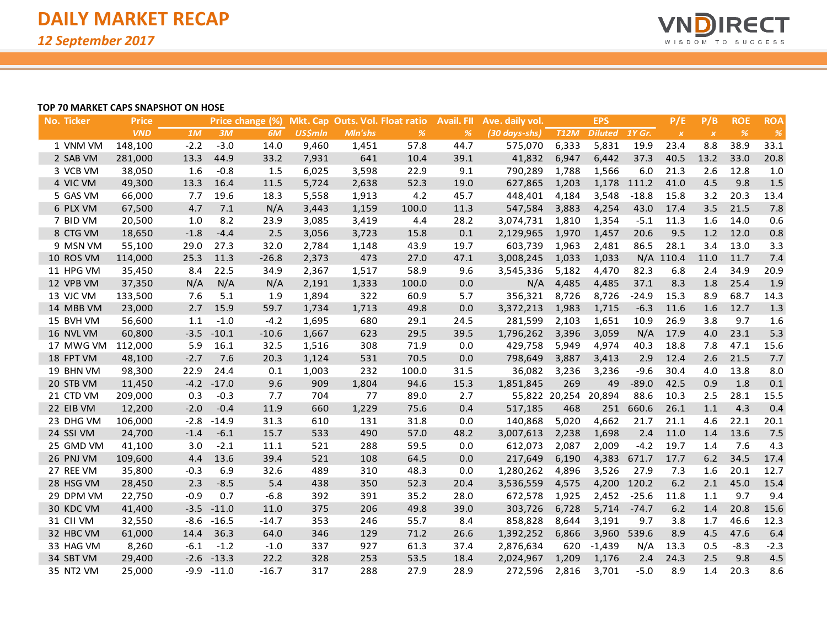

#### **TOP 70 MARKET CAPS SNAPSHOT ON HOSE**

| No. Ticker | <b>Price</b> |        |         | Price change (%) |                |                | Mkt. Cap Outs. Vol. Float ratio | Avail. Fll | Ave. daily vol. |                      | <b>EPS</b>     |             | P/E              | P/B              | <b>ROE</b>    | <b>ROA</b> |
|------------|--------------|--------|---------|------------------|----------------|----------------|---------------------------------|------------|-----------------|----------------------|----------------|-------------|------------------|------------------|---------------|------------|
|            | <b>VND</b>   | 1M     | 3M      | 6M               | <b>US\$mln</b> | <b>MIn'shs</b> | $\frac{9}{6}$                   | %          | (30 days-shs)   | <b>T12M</b>          | <b>Diluted</b> | 1Y Gr.      | $\boldsymbol{X}$ | $\boldsymbol{X}$ | $\frac{o}{o}$ | %          |
| 1 VNM VM   | 148,100      | $-2.2$ | $-3.0$  | 14.0             | 9,460          | 1,451          | 57.8                            | 44.7       | 575,070         | 6,333                | 5,831          | 19.9        | 23.4             | 8.8              | 38.9          | 33.1       |
| 2 SAB VM   | 281,000      | 13.3   | 44.9    | 33.2             | 7,931          | 641            | 10.4                            | 39.1       | 41,832          | 6,947                | 6,442          | 37.3        | 40.5             | 13.2             | 33.0          | 20.8       |
| 3 VCB VM   | 38,050       | 1.6    | $-0.8$  | 1.5              | 6,025          | 3,598          | 22.9                            | 9.1        | 790,289         | 1,788                | 1,566          | 6.0         | 21.3             | 2.6              | 12.8          | 1.0        |
| 4 VIC VM   | 49,300       | 13.3   | 16.4    | 11.5             | 5,724          | 2,638          | 52.3                            | 19.0       | 627,865         | 1,203                |                | 1,178 111.2 | 41.0             | 4.5              | 9.8           | 1.5        |
| 5 GAS VM   | 66,000       | 7.7    | 19.6    | 18.3             | 5,558          | 1,913          | 4.2                             | 45.7       | 448,401         | 4,184                | 3,548          | $-18.8$     | 15.8             | 3.2              | 20.3          | 13.4       |
| 6 PLX VM   | 67,500       | 4.7    | 7.1     | N/A              | 3,443          | 1,159          | 100.0                           | 11.3       | 547,584         | 3,883                | 4,254          | 43.0        | 17.4             | 3.5              | 21.5          | 7.8        |
| 7 BID VM   | 20,500       | 1.0    | 8.2     | 23.9             | 3,085          | 3,419          | 4.4                             | 28.2       | 3,074,731       | 1,810                | 1,354          | $-5.1$      | 11.3             | 1.6              | 14.0          | 0.6        |
| 8 CTG VM   | 18,650       | $-1.8$ | $-4.4$  | 2.5              | 3,056          | 3,723          | 15.8                            | 0.1        | 2,129,965       | 1,970                | 1,457          | 20.6        | 9.5              | 1.2              | 12.0          | 0.8        |
| 9 MSN VM   | 55,100       | 29.0   | 27.3    | 32.0             | 2,784          | 1,148          | 43.9                            | 19.7       | 603,739         | 1,963                | 2,481          | 86.5        | 28.1             | 3.4              | 13.0          | 3.3        |
| 10 ROS VM  | 114,000      | 25.3   | 11.3    | $-26.8$          | 2,373          | 473            | 27.0                            | 47.1       | 3,008,245       | 1,033                | 1,033          |             | N/A 110.4        | 11.0             | 11.7          | 7.4        |
| 11 HPG VM  | 35,450       | 8.4    | 22.5    | 34.9             | 2,367          | 1,517          | 58.9                            | 9.6        | 3,545,336       | 5,182                | 4,470          | 82.3        | 6.8              | 2.4              | 34.9          | 20.9       |
| 12 VPB VM  | 37,350       | N/A    | N/A     | N/A              | 2,191          | 1,333          | 100.0                           | 0.0        | N/A             | 4,485                | 4,485          | 37.1        | 8.3              | 1.8              | 25.4          | 1.9        |
| 13 VJC VM  | 133,500      | 7.6    | 5.1     | 1.9              | 1,894          | 322            | 60.9                            | 5.7        | 356,321         | 8,726                | 8,726          | $-24.9$     | 15.3             | 8.9              | 68.7          | 14.3       |
| 14 MBB VM  | 23,000       | 2.7    | 15.9    | 59.7             | 1,734          | 1,713          | 49.8                            | 0.0        | 3,372,213       | 1,983                | 1,715          | $-6.3$      | 11.6             | 1.6              | 12.7          | 1.3        |
| 15 BVH VM  | 56,600       | 1.1    | $-1.0$  | $-4.2$           | 1,695          | 680            | 29.1                            | 24.5       | 281,599         | 2,103                | 1,651          | 10.9        | 26.9             | 3.8              | 9.7           | 1.6        |
| 16 NVL VM  | 60,800       | $-3.5$ | $-10.1$ | $-10.6$          | 1,667          | 623            | 29.5                            | 39.5       | 1,796,262       | 3,396                | 3,059          | N/A         | 17.9             | 4.0              | 23.1          | 5.3        |
| 17 MWG VM  | 112,000      | 5.9    | 16.1    | 32.5             | 1,516          | 308            | 71.9                            | 0.0        | 429,758         | 5,949                | 4,974          | 40.3        | 18.8             | 7.8              | 47.1          | 15.6       |
| 18 FPT VM  | 48,100       | $-2.7$ | 7.6     | 20.3             | 1,124          | 531            | 70.5                            | 0.0        | 798,649         | 3,887                | 3,413          | 2.9         | 12.4             | 2.6              | 21.5          | 7.7        |
| 19 BHN VM  | 98,300       | 22.9   | 24.4    | 0.1              | 1,003          | 232            | 100.0                           | 31.5       | 36,082          | 3,236                | 3,236          | $-9.6$      | 30.4             | 4.0              | 13.8          | 8.0        |
| 20 STB VM  | 11,450       | $-4.2$ | $-17.0$ | 9.6              | 909            | 1,804          | 94.6                            | 15.3       | 1,851,845       | 269                  | 49             | $-89.0$     | 42.5             | 0.9              | 1.8           | 0.1        |
| 21 CTD VM  | 209,000      | 0.3    | $-0.3$  | 7.7              | 704            | 77             | 89.0                            | 2.7        |                 | 55,822 20,254 20,894 |                | 88.6        | 10.3             | 2.5              | 28.1          | 15.5       |
| 22 EIB VM  | 12,200       | $-2.0$ | $-0.4$  | 11.9             | 660            | 1,229          | 75.6                            | 0.4        | 517,185         | 468                  | 251            | 660.6       | 26.1             | 1.1              | 4.3           | 0.4        |
| 23 DHG VM  | 106,000      | $-2.8$ | $-14.9$ | 31.3             | 610            | 131            | 31.8                            | 0.0        | 140,868         | 5,020                | 4,662          | 21.7        | 21.1             | 4.6              | 22.1          | 20.1       |
| 24 SSI VM  | 24,700       | $-1.4$ | $-6.1$  | 15.7             | 533            | 490            | 57.0                            | 48.2       | 3,007,613       | 2,238                | 1,698          | 2.4         | 11.0             | 1.4              | 13.6          | 7.5        |
| 25 GMD VM  | 41,100       | 3.0    | $-2.1$  | 11.1             | 521            | 288            | 59.5                            | 0.0        | 612,073         | 2,087                | 2,009          | $-4.2$      | 19.7             | 1.4              | 7.6           | 4.3        |
| 26 PNJ VM  | 109,600      | 4.4    | 13.6    | 39.4             | 521            | 108            | 64.5                            | 0.0        | 217,649         | 6,190                | 4,383          | 671.7       | 17.7             | 6.2              | 34.5          | 17.4       |
| 27 REE VM  | 35,800       | $-0.3$ | 6.9     | 32.6             | 489            | 310            | 48.3                            | 0.0        | 1,280,262       | 4,896                | 3,526          | 27.9        | 7.3              | 1.6              | 20.1          | 12.7       |
| 28 HSG VM  | 28,450       | 2.3    | $-8.5$  | 5.4              | 438            | 350            | 52.3                            | 20.4       | 3,536,559       | 4,575                |                | 4,200 120.2 | 6.2              | 2.1              | 45.0          | 15.4       |
| 29 DPM VM  | 22,750       | $-0.9$ | 0.7     | $-6.8$           | 392            | 391            | 35.2                            | 28.0       | 672,578         | 1,925                | 2,452          | $-25.6$     | 11.8             | 1.1              | 9.7           | 9.4        |
| 30 KDC VM  | 41,400       | $-3.5$ | $-11.0$ | 11.0             | 375            | 206            | 49.8                            | 39.0       | 303,726         | 6,728                | 5,714          | $-74.7$     | 6.2              | 1.4              | 20.8          | 15.6       |
| 31 CII VM  | 32,550       | $-8.6$ | $-16.5$ | $-14.7$          | 353            | 246            | 55.7                            | 8.4        | 858,828         | 8,644                | 3,191          | 9.7         | 3.8              | 1.7              | 46.6          | 12.3       |
| 32 HBC VM  | 61,000       | 14.4   | 36.3    | 64.0             | 346            | 129            | 71.2                            | 26.6       | 1,392,252       | 6,866                | 3,960          | 539.6       | 8.9              | 4.5              | 47.6          | 6.4        |
| 33 HAG VM  | 8,260        | $-6.1$ | $-1.2$  | $-1.0$           | 337            | 927            | 61.3                            | 37.4       | 2,876,634       | 620                  | $-1,439$       | N/A         | 13.3             | 0.5              | $-8.3$        | $-2.3$     |
| 34 SBT VM  | 29,400       | $-2.6$ | $-13.3$ | 22.2             | 328            | 253            | 53.5                            | 18.4       | 2,024,967       | 1,209                | 1,176          | 2.4         | 24.3             | 2.5              | 9.8           | 4.5        |
| 35 NT2 VM  | 25,000       | $-9.9$ | $-11.0$ | $-16.7$          | 317            | 288            | 27.9                            | 28.9       | 272,596         | 2,816                | 3,701          | $-5.0$      | 8.9              | 1.4              | 20.3          | 8.6        |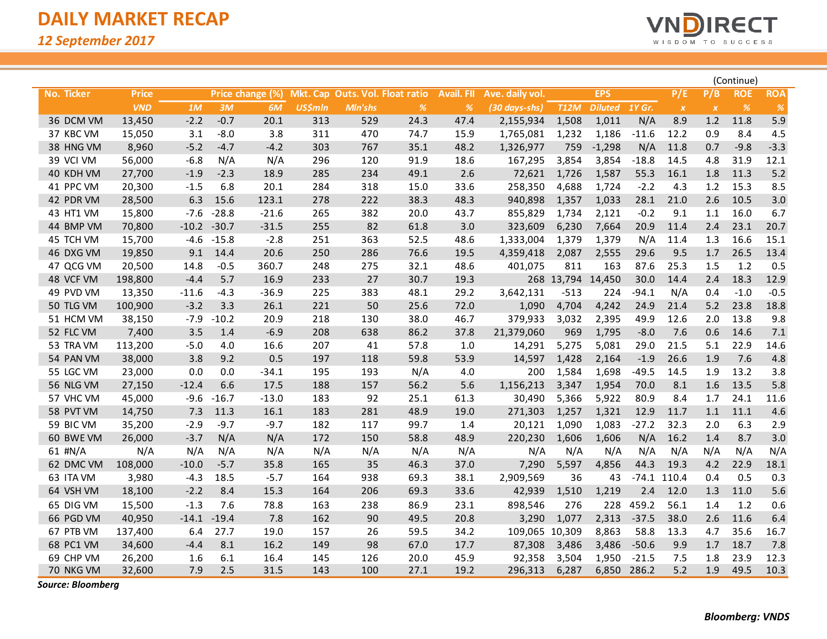

|                   |              |         |         |                  |                |                                 |               |                   |                 |                   |                |         |               |                  | (Continue) |            |
|-------------------|--------------|---------|---------|------------------|----------------|---------------------------------|---------------|-------------------|-----------------|-------------------|----------------|---------|---------------|------------------|------------|------------|
| <b>No. Ticker</b> | <b>Price</b> |         |         | Price change (%) |                | Mkt. Cap Outs. Vol. Float ratio |               | <b>Avail. FII</b> | Ave. daily vol. |                   | <b>EPS</b>     |         | P/E           | P/B              | <b>ROE</b> | <b>ROA</b> |
|                   | <b>VND</b>   | 1M      | 3M      | 6M               | <b>US\$mln</b> | Mln'shs                         | $\frac{o}{o}$ | %                 | (30 days-shs)   | <b>T12M</b>       | Diluted 1Y Gr. |         | $\pmb{\chi}$  | $\boldsymbol{X}$ | %          | $\%$       |
| 36 DCM VM         | 13,450       | $-2.2$  | $-0.7$  | 20.1             | 313            | 529                             | 24.3          | 47.4              | 2,155,934       | 1,508             | 1,011          | N/A     | 8.9           | $1.2$            | 11.8       | 5.9        |
| 37 KBC VM         | 15,050       | 3.1     | $-8.0$  | 3.8              | 311            | 470                             | 74.7          | 15.9              | 1,765,081       | 1,232             | 1,186          | $-11.6$ | 12.2          | 0.9              | 8.4        | 4.5        |
| 38 HNG VM         | 8,960        | $-5.2$  | $-4.7$  | $-4.2$           | 303            | 767                             | 35.1          | 48.2              | 1,326,977       | 759               | $-1,298$       | N/A     | 11.8          | 0.7              | $-9.8$     | $-3.3$     |
| 39 VCI VM         | 56,000       | $-6.8$  | N/A     | N/A              | 296            | 120                             | 91.9          | 18.6              | 167,295         | 3,854             | 3,854          | $-18.8$ | 14.5          | 4.8              | 31.9       | 12.1       |
| 40 KDH VM         | 27,700       | $-1.9$  | $-2.3$  | 18.9             | 285            | 234                             | 49.1          | 2.6               | 72,621          | 1,726             | 1,587          | 55.3    | 16.1          | 1.8              | 11.3       | $5.2$      |
| 41 PPC VM         | 20,300       | $-1.5$  | 6.8     | 20.1             | 284            | 318                             | 15.0          | 33.6              | 258,350         | 4,688             | 1,724          | $-2.2$  | 4.3           | 1.2              | 15.3       | 8.5        |
| 42 PDR VM         | 28,500       | 6.3     | 15.6    | 123.1            | 278            | 222                             | 38.3          | 48.3              | 940,898         | 1,357             | 1,033          | 28.1    | 21.0          | 2.6              | 10.5       | 3.0        |
| 43 HT1 VM         | 15,800       | $-7.6$  | $-28.8$ | $-21.6$          | 265            | 382                             | 20.0          | 43.7              | 855,829         | 1,734             | 2,121          | $-0.2$  | 9.1           | 1.1              | 16.0       | 6.7        |
| 44 BMP VM         | 70,800       | $-10.2$ | $-30.7$ | $-31.5$          | 255            | 82                              | 61.8          | 3.0               | 323,609         | 6,230             | 7,664          | 20.9    | 11.4          | 2.4              | 23.1       | 20.7       |
| 45 TCH VM         | 15,700       | -4.6    | $-15.8$ | $-2.8$           | 251            | 363                             | 52.5          | 48.6              | 1,333,004       | 1,379             | 1,379          | N/A     | 11.4          | 1.3              | 16.6       | 15.1       |
| 46 DXG VM         | 19,850       | 9.1     | 14.4    | 20.6             | 250            | 286                             | 76.6          | 19.5              | 4,359,418       | 2,087             | 2,555          | 29.6    | 9.5           | 1.7              | 26.5       | 13.4       |
| 47 QCG VM         | 20,500       | 14.8    | $-0.5$  | 360.7            | 248            | 275                             | 32.1          | 48.6              | 401,075         | 811               | 163            | 87.6    | 25.3          | 1.5              | 1.2        | 0.5        |
| 48 VCF VM         | 198,800      | $-4.4$  | 5.7     | 16.9             | 233            | 27                              | 30.7          | 19.3              |                 | 268 13,794 14,450 |                | 30.0    | 14.4          | 2.4              | 18.3       | 12.9       |
| 49 PVD VM         | 13,350       | $-11.6$ | $-4.3$  | $-36.9$          | 225            | 383                             | 48.1          | 29.2              | 3,642,131       | $-513$            | 224            | $-94.1$ | N/A           | 0.4              | $-1.0$     | $-0.5$     |
| 50 TLG VM         | 100,900      | $-3.2$  | 3.3     | 26.1             | 221            | 50                              | 25.6          | 72.0              | 1,090           | 4,704             | 4,242          | 24.9    | 21.4          | 5.2              | 23.8       | 18.8       |
| 51 HCM VM         | 38,150       | $-7.9$  | $-10.2$ | 20.9             | 218            | 130                             | 38.0          | 46.7              | 379,933         | 3,032             | 2,395          | 49.9    | 12.6          | 2.0              | 13.8       | 9.8        |
| 52 FLC VM         | 7,400        | 3.5     | 1.4     | $-6.9$           | 208            | 638                             | 86.2          | 37.8              | 21,379,060      | 969               | 1,795          | $-8.0$  | 7.6           | 0.6              | 14.6       | $7.1$      |
| 53 TRA VM         | 113,200      | $-5.0$  | 4.0     | 16.6             | 207            | 41                              | 57.8          | 1.0               | 14,291          | 5,275             | 5,081          | 29.0    | 21.5          | 5.1              | 22.9       | 14.6       |
| 54 PAN VM         | 38,000       | 3.8     | 9.2     | 0.5              | 197            | 118                             | 59.8          | 53.9              | 14,597          | 1,428             | 2,164          | $-1.9$  | 26.6          | 1.9              | 7.6        | 4.8        |
| 55 LGC VM         | 23,000       | 0.0     | 0.0     | $-34.1$          | 195            | 193                             | N/A           | 4.0               | 200             | 1,584             | 1,698          | $-49.5$ | 14.5          | 1.9              | 13.2       | 3.8        |
| 56 NLG VM         | 27,150       | $-12.4$ | 6.6     | 17.5             | 188            | 157                             | 56.2          | 5.6               | 1,156,213       | 3,347             | 1,954          | 70.0    | 8.1           | 1.6              | 13.5       | 5.8        |
| 57 VHC VM         | 45,000       | $-9.6$  | $-16.7$ | $-13.0$          | 183            | 92                              | 25.1          | 61.3              | 30,490          | 5,366             | 5,922          | 80.9    | 8.4           | 1.7              | 24.1       | 11.6       |
| 58 PVT VM         | 14,750       | 7.3     | 11.3    | 16.1             | 183            | 281                             | 48.9          | 19.0              | 271,303         | 1,257             | 1,321          | 12.9    | 11.7          | $1.1$            | 11.1       | 4.6        |
| 59 BIC VM         | 35,200       | $-2.9$  | $-9.7$  | $-9.7$           | 182            | 117                             | 99.7          | 1.4               | 20,121          | 1,090             | 1,083          | $-27.2$ | 32.3          | 2.0              | 6.3        | 2.9        |
| 60 BWE VM         | 26,000       | $-3.7$  | N/A     | N/A              | 172            | 150                             | 58.8          | 48.9              | 220,230         | 1,606             | 1,606          | N/A     | 16.2          | 1.4              | 8.7        | 3.0        |
| 61 #N/A           | N/A          | N/A     | N/A     | N/A              | N/A            | N/A                             | N/A           | N/A               | N/A             | N/A               | N/A            | N/A     | N/A           | N/A              | N/A        | N/A        |
| 62 DMC VM         | 108,000      | $-10.0$ | $-5.7$  | 35.8             | 165            | 35                              | 46.3          | 37.0              | 7,290           | 5,597             | 4,856          | 44.3    | 19.3          | 4.2              | 22.9       | 18.1       |
| 63 ITA VM         | 3,980        | $-4.3$  | 18.5    | $-5.7$           | 164            | 938                             | 69.3          | 38.1              | 2,909,569       | 36                | 43             |         | $-74.1$ 110.4 | 0.4              | 0.5        | 0.3        |
| 64 VSH VM         | 18,100       | $-2.2$  | 8.4     | 15.3             | 164            | 206                             | 69.3          | 33.6              | 42,939          | 1,510             | 1,219          | 2.4     | 12.0          | 1.3              | 11.0       | 5.6        |
| 65 DIG VM         | 15,500       | $-1.3$  | 7.6     | 78.8             | 163            | 238                             | 86.9          | 23.1              | 898,546         | 276               | 228            | 459.2   | 56.1          | 1.4              | 1.2        | 0.6        |
| 66 PGD VM         | 40,950       | $-14.1$ | $-19.4$ | 7.8              | 162            | 90                              | 49.5          | 20.8              | 3,290           | 1,077             | 2,313          | $-37.5$ | 38.0          | 2.6              | 11.6       | 6.4        |
| 67 PTB VM         | 137,400      | 6.4     | 27.7    | 19.0             | 157            | 26                              | 59.5          | 34.2              | 109,065         | 10,309            | 8,863          | 58.8    | 13.3          | 4.7              | 35.6       | 16.7       |
| 68 PC1 VM         | 34,600       | $-4.4$  | 8.1     | 16.2             | 149            | 98                              | 67.0          | 17.7              | 87,308          | 3,486             | 3,486          | $-50.6$ | 9.9           | 1.7              | 18.7       | 7.8        |
| 69 CHP VM         | 26,200       | 1.6     | 6.1     | 16.4             | 145            | 126                             | 20.0          | 45.9              | 92,358          | 3,504             | 1,950          | $-21.5$ | 7.5           | 1.8              | 23.9       | 12.3       |
| 70 NKG VM         | 32,600       | 7.9     | 2.5     | 31.5             | 143            | 100                             | 27.1          | 19.2              | 296,313         | 6,287             | 6,850          | 286.2   | 5.2           | 1.9              | 49.5       | 10.3       |

*Source: Bloomberg*